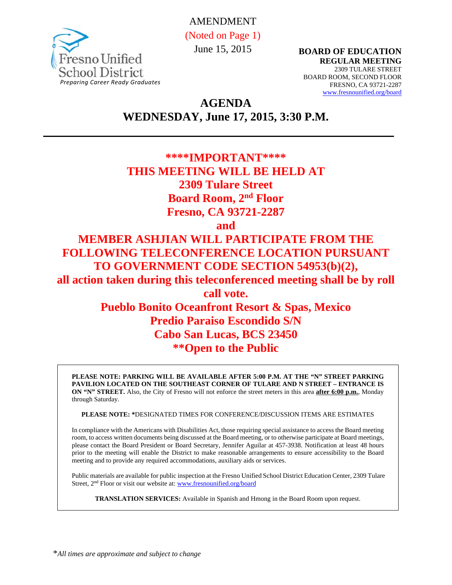

AMENDMENT (Noted on Page 1) June 15, 2015

**BOARD OF EDUCATION REGULAR MEETING**  2309 TULARE STREET BOARD ROOM, SECOND FLOOR FRESNO, CA 93721-2287 www.fresnounified.org/board

**AGENDA WEDNESDAY, June 17, 2015, 3:30 P.M.** 

# **\*\*\*\*IMPORTANT\*\*\*\* THIS MEETING WILL BE HELD AT 2309 Tulare Street Board Room, 2nd Floor Fresno, CA 93721-2287 and MEMBER ASHJIAN WILL PARTICIPATE FROM THE**

**FOLLOWING TELECONFERENCE LOCATION PURSUANT TO GOVERNMENT CODE SECTION 54953(b)(2), all action taken during this teleconferenced meeting shall be by roll call vote. Pueblo Bonito Oceanfront Resort & Spas, Mexico Predio Paraiso Escondido S/N Cabo San Lucas, BCS 23450** 

**\*\*Open to the Public** 

**PLEASE NOTE: PARKING WILL BE AVAILABLE AFTER 5:00 P.M. AT THE "N" STREET PARKING PAVILION LOCATED ON THE SOUTHEAST CORNER OF TULARE AND N STREET – ENTRANCE IS ON "N" STREET.** Also, the City of Fresno will not enforce the street meters in this area **after 6:00 p.m.**, Monday through Saturday.

**PLEASE NOTE: \***DESIGNATED TIMES FOR CONFERENCE/DISCUSSION ITEMS ARE ESTIMATES

In compliance with the Americans with Disabilities Act, those requiring special assistance to access the Board meeting room, to access written documents being discussed at the Board meeting, or to otherwise participate at Board meetings, please contact the Board President or Board Secretary, Jennifer Aguilar at 457-3938. Notification at least 48 hours prior to the meeting will enable the District to make reasonable arrangements to ensure accessibility to the Board meeting and to provide any required accommodations, auxiliary aids or services.

Public materials are available for public inspection at the Fresno Unified School District Education Center, 2309 Tulare Street, 2<sup>nd</sup> Floor or visit our website at: www.fresnounified.org/board

**TRANSLATION SERVICES:** Available in Spanish and Hmong in the Board Room upon request.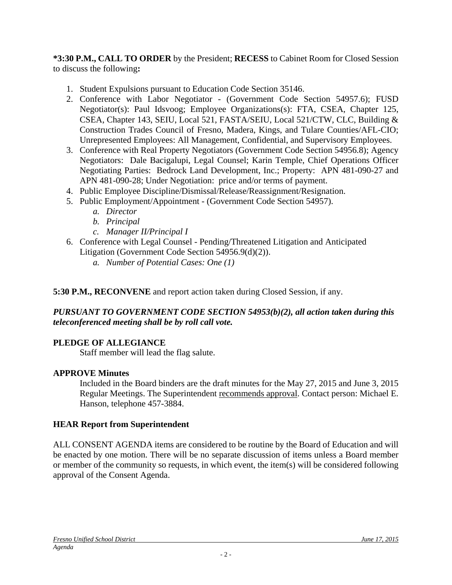**\*3:30 P.M., CALL TO ORDER** by the President; **RECESS** to Cabinet Room for Closed Session to discuss the following**:** 

- 1. Student Expulsions pursuant to Education Code Section 35146.
- 2. Conference with Labor Negotiator (Government Code Section 54957.6); FUSD Negotiator(s): Paul Idsvoog; Employee Organizations(s): FTA, CSEA, Chapter 125, CSEA, Chapter 143, SEIU, Local 521, FASTA/SEIU, Local 521/CTW, CLC, Building & Construction Trades Council of Fresno, Madera, Kings, and Tulare Counties/AFL-CIO; Unrepresented Employees: All Management, Confidential, and Supervisory Employees.
- 3. Conference with Real Property Negotiators (Government Code Section 54956.8); Agency Negotiators: Dale Bacigalupi, Legal Counsel; Karin Temple, Chief Operations Officer Negotiating Parties: Bedrock Land Development, Inc.; Property: APN 481-090-27 and APN 481-090-28; Under Negotiation: price and/or terms of payment.
- 4. Public Employee Discipline/Dismissal/Release/Reassignment/Resignation.
- 5. Public Employment/Appointment (Government Code Section 54957).
	- *a. Director*
	- *b. Principal*
	- *c. Manager II/Principal I*
- 6. Conference with Legal Counsel Pending/Threatened Litigation and Anticipated Litigation (Government Code Section 54956.9(d)(2)).
	- *a. Number of Potential Cases: One (1)*

# **5:30 P.M., RECONVENE** and report action taken during Closed Session, if any.

### *PURSUANT TO GOVERNMENT CODE SECTION 54953(b)(2), all action taken during this teleconferenced meeting shall be by roll call vote.*

# **PLEDGE OF ALLEGIANCE**

Staff member will lead the flag salute.

# **APPROVE Minutes**

Included in the Board binders are the draft minutes for the May 27, 2015 and June 3, 2015 Regular Meetings. The Superintendent recommends approval. Contact person: Michael E. Hanson, telephone 457-3884.

# **HEAR Report from Superintendent**

ALL CONSENT AGENDA items are considered to be routine by the Board of Education and will be enacted by one motion. There will be no separate discussion of items unless a Board member or member of the community so requests, in which event, the item(s) will be considered following approval of the Consent Agenda.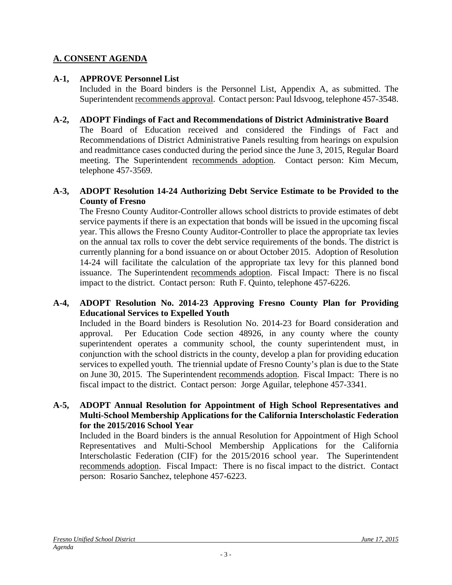# **A. CONSENT AGENDA**

# **A-1, APPROVE Personnel List**

Included in the Board binders is the Personnel List, Appendix A, as submitted. The Superintendent recommends approval. Contact person: Paul Idsvoog, telephone 457-3548.

### **A-2, ADOPT Findings of Fact and Recommendations of District Administrative Board**

The Board of Education received and considered the Findings of Fact and Recommendations of District Administrative Panels resulting from hearings on expulsion and readmittance cases conducted during the period since the June 3, 2015, Regular Board meeting. The Superintendent recommends adoption. Contact person: Kim Mecum, telephone 457-3569.

#### **A-3, ADOPT Resolution 14-24 Authorizing Debt Service Estimate to be Provided to the County of Fresno**

The Fresno County Auditor-Controller allows school districts to provide estimates of debt service payments if there is an expectation that bonds will be issued in the upcoming fiscal year. This allows the Fresno County Auditor-Controller to place the appropriate tax levies on the annual tax rolls to cover the debt service requirements of the bonds. The district is currently planning for a bond issuance on or about October 2015. Adoption of Resolution 14-24 will facilitate the calculation of the appropriate tax levy for this planned bond issuance. The Superintendent recommends adoption. Fiscal Impact: There is no fiscal impact to the district. Contact person: Ruth F. Quinto, telephone 457-6226.

### **A-4, ADOPT Resolution No. 2014-23 Approving Fresno County Plan for Providing Educational Services to Expelled Youth**

Included in the Board binders is Resolution No. 2014-23 for Board consideration and approval. Per Education Code section 48926, in any county where the county superintendent operates a community school, the county superintendent must, in conjunction with the school districts in the county, develop a plan for providing education services to expelled youth. The triennial update of Fresno County's plan is due to the State on June 30, 2015. The Superintendent recommends adoption. Fiscal Impact: There is no fiscal impact to the district. Contact person: Jorge Aguilar, telephone 457-3341.

#### **A-5, ADOPT Annual Resolution for Appointment of High School Representatives and Multi-School Membership Applications for the California Interscholastic Federation for the 2015/2016 School Year**

Included in the Board binders is the annual Resolution for Appointment of High School Representatives and Multi-School Membership Applications for the California Interscholastic Federation (CIF) for the 2015/2016 school year. The Superintendent recommends adoption. Fiscal Impact: There is no fiscal impact to the district. Contact person: Rosario Sanchez, telephone 457-6223.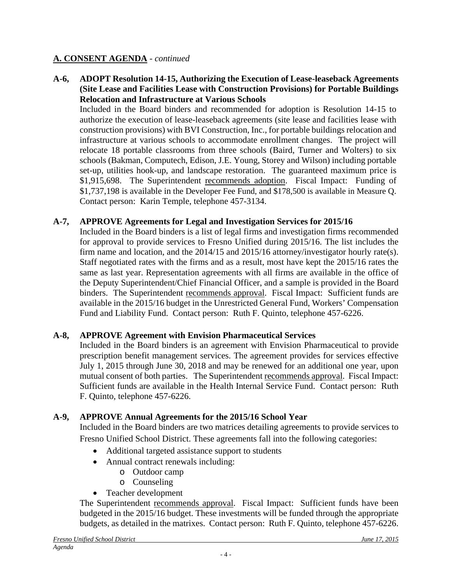**A-6, ADOPT Resolution 14-15, Authorizing the Execution of Lease-leaseback Agreements (Site Lease and Facilities Lease with Construction Provisions) for Portable Buildings Relocation and Infrastructure at Various Schools** 

Included in the Board binders and recommended for adoption is Resolution 14-15 to authorize the execution of lease-leaseback agreements (site lease and facilities lease with construction provisions) with BVI Construction, Inc., for portable buildings relocation and infrastructure at various schools to accommodate enrollment changes. The project will relocate 18 portable classrooms from three schools (Baird, Turner and Wolters) to six schools (Bakman, Computech, Edison, J.E. Young, Storey and Wilson) including portable set-up, utilities hook-up, and landscape restoration. The guaranteed maximum price is \$1,915,698. The Superintendent recommends adoption. Fiscal Impact: Funding of \$1,737,198 is available in the Developer Fee Fund, and \$178,500 is available in Measure Q. Contact person: Karin Temple, telephone 457-3134.

### **A-7, APPROVE Agreements for Legal and Investigation Services for 2015/16**

Included in the Board binders is a list of legal firms and investigation firms recommended for approval to provide services to Fresno Unified during 2015/16. The list includes the firm name and location, and the 2014/15 and 2015/16 attorney/investigator hourly rate(s). Staff negotiated rates with the firms and as a result, most have kept the 2015/16 rates the same as last year. Representation agreements with all firms are available in the office of the Deputy Superintendent/Chief Financial Officer, and a sample is provided in the Board binders. The Superintendent recommends approval. Fiscal Impact: Sufficient funds are available in the 2015/16 budget in the Unrestricted General Fund, Workers' Compensation Fund and Liability Fund. Contact person: Ruth F. Quinto, telephone 457-6226.

#### **A-8, APPROVE Agreement with Envision Pharmaceutical Services**

Included in the Board binders is an agreement with Envision Pharmaceutical to provide prescription benefit management services. The agreement provides for services effective July 1, 2015 through June 30, 2018 and may be renewed for an additional one year, upon mutual consent of both parties. The Superintendent recommends approval. Fiscal Impact: Sufficient funds are available in the Health Internal Service Fund. Contact person: Ruth F. Quinto, telephone 457-6226.

# **A-9, APPROVE Annual Agreements for the 2015/16 School Year**

Included in the Board binders are two matrices detailing agreements to provide services to Fresno Unified School District. These agreements fall into the following categories:

- Additional targeted assistance support to students
- Annual contract renewals including:
	- o Outdoor camp
	- o Counseling
- Teacher development

The Superintendent recommends approval. Fiscal Impact: Sufficient funds have been budgeted in the 2015/16 budget. These investments will be funded through the appropriate budgets, as detailed in the matrixes. Contact person: Ruth F. Quinto, telephone 457-6226.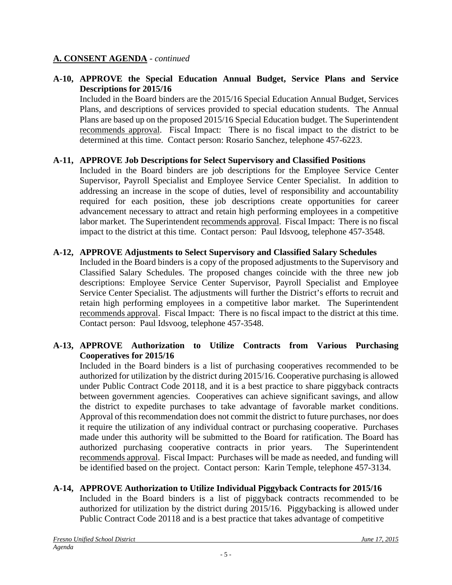# **A-10, APPROVE the Special Education Annual Budget, Service Plans and Service Descriptions for 2015/16**

Included in the Board binders are the 2015/16 Special Education Annual Budget, Services Plans, and descriptions of services provided to special education students. The Annual Plans are based up on the proposed 2015/16 Special Education budget. The Superintendent recommends approval. Fiscal Impact: There is no fiscal impact to the district to be determined at this time. Contact person: Rosario Sanchez, telephone 457-6223.

# **A-11, APPROVE Job Descriptions for Select Supervisory and Classified Positions**

Included in the Board binders are job descriptions for the Employee Service Center Supervisor, Payroll Specialist and Employee Service Center Specialist. In addition to addressing an increase in the scope of duties, level of responsibility and accountability required for each position, these job descriptions create opportunities for career advancement necessary to attract and retain high performing employees in a competitive labor market. The Superintendent recommends approval. Fiscal Impact: There is no fiscal impact to the district at this time. Contact person: Paul Idsvoog, telephone 457-3548.

### **A-12, APPROVE Adjustments to Select Supervisory and Classified Salary Schedules**

Included in the Board binders is a copy of the proposed adjustments to the Supervisory and Classified Salary Schedules. The proposed changes coincide with the three new job descriptions: Employee Service Center Supervisor, Payroll Specialist and Employee Service Center Specialist. The adjustments will further the District's efforts to recruit and retain high performing employees in a competitive labor market. The Superintendent recommends approval. Fiscal Impact: There is no fiscal impact to the district at this time. Contact person: Paul Idsvoog, telephone 457-3548.

### **A-13, APPROVE Authorization to Utilize Contracts from Various Purchasing Cooperatives for 2015/16**

Included in the Board binders is a list of purchasing cooperatives recommended to be authorized for utilization by the district during 2015/16. Cooperative purchasing is allowed under Public Contract Code 20118, and it is a best practice to share piggyback contracts between government agencies. Cooperatives can achieve significant savings, and allow the district to expedite purchases to take advantage of favorable market conditions. Approval of this recommendation does not commit the district to future purchases, nor does it require the utilization of any individual contract or purchasing cooperative. Purchases made under this authority will be submitted to the Board for ratification. The Board has authorized purchasing cooperative contracts in prior years. The Superintendent recommends approval. Fiscal Impact: Purchases will be made as needed, and funding will be identified based on the project. Contact person: Karin Temple, telephone 457-3134.

# **A-14, APPROVE Authorization to Utilize Individual Piggyback Contracts for 2015/16**

Included in the Board binders is a list of piggyback contracts recommended to be authorized for utilization by the district during 2015/16. Piggybacking is allowed under Public Contract Code 20118 and is a best practice that takes advantage of competitive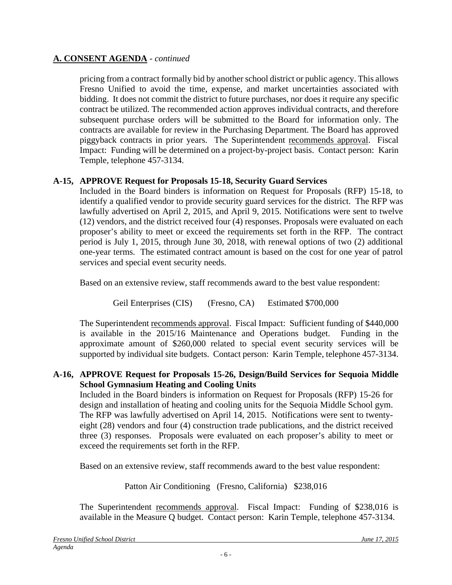pricing from a contract formally bid by another school district or public agency. This allows Fresno Unified to avoid the time, expense, and market uncertainties associated with bidding. It does not commit the district to future purchases, nor does it require any specific contract be utilized. The recommended action approves individual contracts, and therefore subsequent purchase orders will be submitted to the Board for information only. The contracts are available for review in the Purchasing Department. The Board has approved piggyback contracts in prior years. The Superintendent recommends approval. Fiscal Impact: Funding will be determined on a project-by-project basis. Contact person: Karin Temple, telephone 457-3134.

# **A-15, APPROVE Request for Proposals 15-18, Security Guard Services**

Included in the Board binders is information on Request for Proposals (RFP) 15-18, to identify a qualified vendor to provide security guard services for the district. The RFP was lawfully advertised on April 2, 2015, and April 9, 2015. Notifications were sent to twelve (12) vendors, and the district received four (4) responses. Proposals were evaluated on each proposer's ability to meet or exceed the requirements set forth in the RFP. The contract period is July 1, 2015, through June 30, 2018, with renewal options of two (2) additional one-year terms. The estimated contract amount is based on the cost for one year of patrol services and special event security needs.

Based on an extensive review, staff recommends award to the best value respondent:

Geil Enterprises (CIS) (Fresno, CA) Estimated \$700,000

The Superintendent recommends approval. Fiscal Impact: Sufficient funding of \$440,000 is available in the 2015/16 Maintenance and Operations budget. Funding in the approximate amount of \$260,000 related to special event security services will be supported by individual site budgets. Contact person: Karin Temple, telephone 457-3134.

# **A-16, APPROVE Request for Proposals 15-26, Design/Build Services for Sequoia Middle School Gymnasium Heating and Cooling Units**

Included in the Board binders is information on Request for Proposals (RFP) 15-26 for design and installation of heating and cooling units for the Sequoia Middle School gym. The RFP was lawfully advertised on April 14, 2015. Notifications were sent to twentyeight (28) vendors and four (4) construction trade publications, and the district received three (3) responses. Proposals were evaluated on each proposer's ability to meet or exceed the requirements set forth in the RFP.

Based on an extensive review, staff recommends award to the best value respondent:

Patton Air Conditioning (Fresno, California) \$238,016

The Superintendent recommends approval. Fiscal Impact: Funding of \$238,016 is available in the Measure Q budget. Contact person: Karin Temple, telephone 457-3134.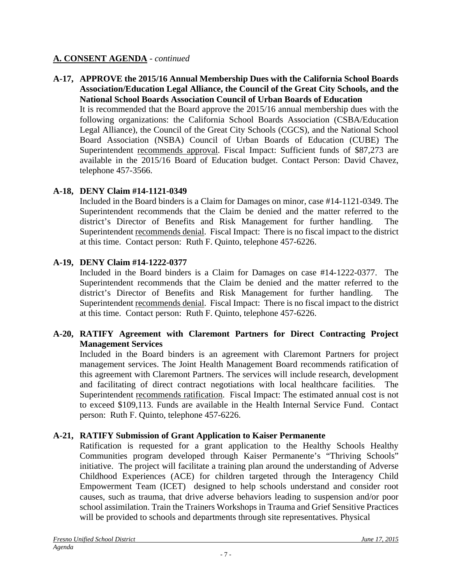**A-17, APPROVE the 2015/16 Annual Membership Dues with the California School Boards Association/Education Legal Alliance, the Council of the Great City Schools, and the National School Boards Association Council of Urban Boards of Education** 

It is recommended that the Board approve the 2015/16 annual membership dues with the following organizations: the California School Boards Association (CSBA/Education Legal Alliance), the Council of the Great City Schools (CGCS), and the National School Board Association (NSBA) Council of Urban Boards of Education (CUBE) The Superintendent recommends approval. Fiscal Impact: Sufficient funds of \$87,273 are available in the 2015/16 Board of Education budget. Contact Person: David Chavez, telephone 457-3566.

# **A-18, DENY Claim #14-1121-0349**

Included in the Board binders is a Claim for Damages on minor, case #14-1121-0349. The Superintendent recommends that the Claim be denied and the matter referred to the district's Director of Benefits and Risk Management for further handling. The Superintendent recommends denial. Fiscal Impact: There is no fiscal impact to the district at this time. Contact person: Ruth F. Quinto, telephone 457-6226.

# **A-19, DENY Claim #14-1222-0377**

Included in the Board binders is a Claim for Damages on case #14-1222-0377. The Superintendent recommends that the Claim be denied and the matter referred to the district's Director of Benefits and Risk Management for further handling. The Superintendent recommends denial. Fiscal Impact: There is no fiscal impact to the district at this time. Contact person: Ruth F. Quinto, telephone 457-6226.

### **A-20, RATIFY Agreement with Claremont Partners for Direct Contracting Project Management Services**

Included in the Board binders is an agreement with Claremont Partners for project management services. The Joint Health Management Board recommends ratification of this agreement with Claremont Partners. The services will include research, development and facilitating of direct contract negotiations with local healthcare facilities. The Superintendent recommends ratification. Fiscal Impact: The estimated annual cost is not to exceed \$109,113. Funds are available in the Health Internal Service Fund. Contact person: Ruth F. Quinto, telephone 457-6226.

# **A-21, RATIFY Submission of Grant Application to Kaiser Permanente**

Ratification is requested for a grant application to the Healthy Schools Healthy Communities program developed through Kaiser Permanente's "Thriving Schools" initiative. The project will facilitate a training plan around the understanding of Adverse Childhood Experiences (ACE) for children targeted through the Interagency Child Empowerment Team (ICET) designed to help schools understand and consider root causes, such as trauma, that drive adverse behaviors leading to suspension and/or poor school assimilation. Train the Trainers Workshops in Trauma and Grief Sensitive Practices will be provided to schools and departments through site representatives. Physical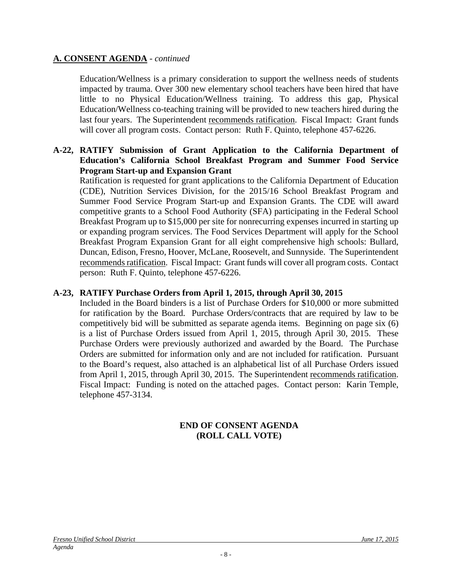Education/Wellness is a primary consideration to support the wellness needs of students impacted by trauma. Over 300 new elementary school teachers have been hired that have little to no Physical Education/Wellness training. To address this gap, Physical Education/Wellness co-teaching training will be provided to new teachers hired during the last four years. The Superintendent recommends ratification. Fiscal Impact: Grant funds will cover all program costs. Contact person: Ruth F. Quinto, telephone 457-6226.

#### **A-22, RATIFY Submission of Grant Application to the California Department of Education's California School Breakfast Program and Summer Food Service Program Start-up and Expansion Grant**

Ratification is requested for grant applications to the California Department of Education (CDE), Nutrition Services Division, for the 2015/16 School Breakfast Program and Summer Food Service Program Start-up and Expansion Grants. The CDE will award competitive grants to a School Food Authority (SFA) participating in the Federal School Breakfast Program up to \$15,000 per site for nonrecurring expenses incurred in starting up or expanding program services. The Food Services Department will apply for the School Breakfast Program Expansion Grant for all eight comprehensive high schools: Bullard, Duncan, Edison, Fresno, Hoover, McLane, Roosevelt, and Sunnyside. The Superintendent recommends ratification. Fiscal Impact: Grant funds will cover all program costs. Contact person: Ruth F. Quinto, telephone 457-6226.

## **A-23, RATIFY Purchase Orders from April 1, 2015, through April 30, 2015**

Included in the Board binders is a list of Purchase Orders for \$10,000 or more submitted for ratification by the Board. Purchase Orders/contracts that are required by law to be competitively bid will be submitted as separate agenda items. Beginning on page six (6) is a list of Purchase Orders issued from April 1, 2015, through April 30, 2015. These Purchase Orders were previously authorized and awarded by the Board. The Purchase Orders are submitted for information only and are not included for ratification. Pursuant to the Board's request, also attached is an alphabetical list of all Purchase Orders issued from April 1, 2015, through April 30, 2015. The Superintendent recommends ratification. Fiscal Impact: Funding is noted on the attached pages. Contact person: Karin Temple, telephone 457-3134.

### **END OF CONSENT AGENDA (ROLL CALL VOTE)**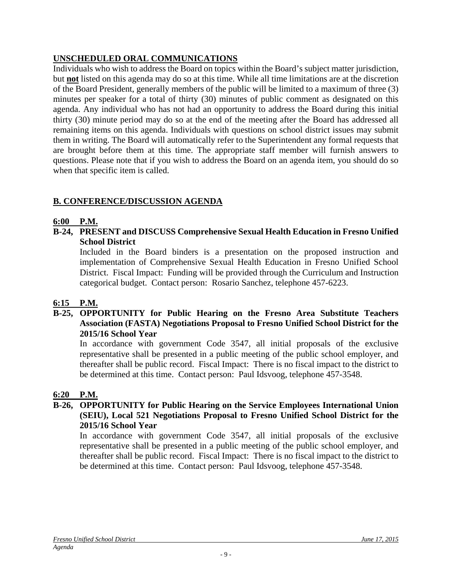# **UNSCHEDULED ORAL COMMUNICATIONS**

Individuals who wish to address the Board on topics within the Board's subject matter jurisdiction, but **not** listed on this agenda may do so at this time. While all time limitations are at the discretion of the Board President, generally members of the public will be limited to a maximum of three (3) minutes per speaker for a total of thirty (30) minutes of public comment as designated on this agenda. Any individual who has not had an opportunity to address the Board during this initial thirty (30) minute period may do so at the end of the meeting after the Board has addressed all remaining items on this agenda. Individuals with questions on school district issues may submit them in writing. The Board will automatically refer to the Superintendent any formal requests that are brought before them at this time. The appropriate staff member will furnish answers to questions. Please note that if you wish to address the Board on an agenda item, you should do so when that specific item is called.

# **B. CONFERENCE/DISCUSSION AGENDA**

# **6:00 P.M.**

**B-24, PRESENT and DISCUSS Comprehensive Sexual Health Education in Fresno Unified School District** 

Included in the Board binders is a presentation on the proposed instruction and implementation of Comprehensive Sexual Health Education in Fresno Unified School District. Fiscal Impact: Funding will be provided through the Curriculum and Instruction categorical budget. Contact person: Rosario Sanchez, telephone 457-6223.

# **6:15 P.M.**

## **B-25, OPPORTUNITY for Public Hearing on the Fresno Area Substitute Teachers Association (FASTA) Negotiations Proposal to Fresno Unified School District for the 2015/16 School Year**

In accordance with government Code 3547, all initial proposals of the exclusive representative shall be presented in a public meeting of the public school employer, and thereafter shall be public record. Fiscal Impact: There is no fiscal impact to the district to be determined at this time. Contact person: Paul Idsvoog, telephone 457-3548.

# **6:20 P.M.**

#### **B-26, OPPORTUNITY for Public Hearing on the Service Employees International Union (SEIU), Local 521 Negotiations Proposal to Fresno Unified School District for the 2015/16 School Year**

In accordance with government Code 3547, all initial proposals of the exclusive representative shall be presented in a public meeting of the public school employer, and thereafter shall be public record. Fiscal Impact: There is no fiscal impact to the district to be determined at this time. Contact person: Paul Idsvoog, telephone 457-3548.